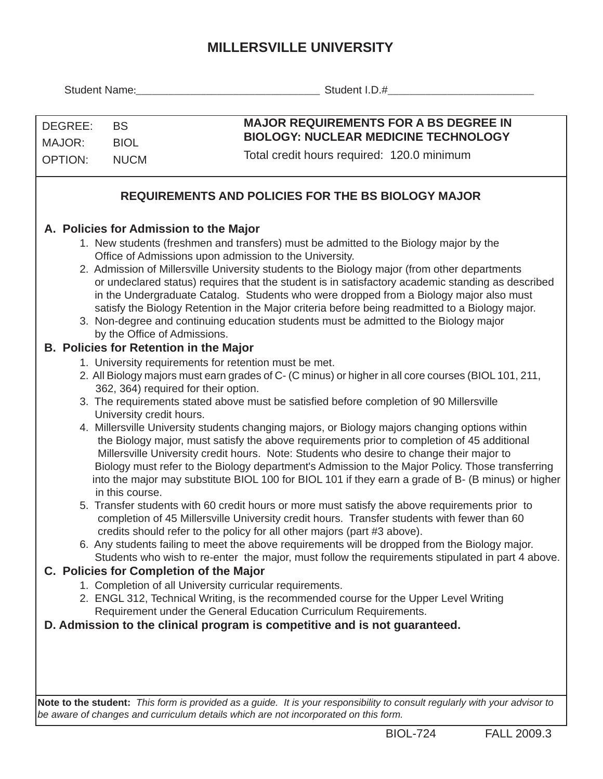## **MILLERSVILLE UNIVERSITY**

|                                                                                                                                                                                                                                                                                                                                                                                                                                                                                                                                                                                                                                                                             |                                             | Student I.D.# example of the state of the state of the state of the state of the state of the state of the state of the state of the state of the state of the state of the state of the state of the state of the state of th                                                                                                                                                                                                                                                                                                                                                                                                                                                                                                                                                                                                                                                                                                                                                                                                                                                                                                                                                                                                                                                                                                                                                                                                                                                                                                                                                                                                                |  |  |  |  |  |  |  |  |  |
|-----------------------------------------------------------------------------------------------------------------------------------------------------------------------------------------------------------------------------------------------------------------------------------------------------------------------------------------------------------------------------------------------------------------------------------------------------------------------------------------------------------------------------------------------------------------------------------------------------------------------------------------------------------------------------|---------------------------------------------|-----------------------------------------------------------------------------------------------------------------------------------------------------------------------------------------------------------------------------------------------------------------------------------------------------------------------------------------------------------------------------------------------------------------------------------------------------------------------------------------------------------------------------------------------------------------------------------------------------------------------------------------------------------------------------------------------------------------------------------------------------------------------------------------------------------------------------------------------------------------------------------------------------------------------------------------------------------------------------------------------------------------------------------------------------------------------------------------------------------------------------------------------------------------------------------------------------------------------------------------------------------------------------------------------------------------------------------------------------------------------------------------------------------------------------------------------------------------------------------------------------------------------------------------------------------------------------------------------------------------------------------------------|--|--|--|--|--|--|--|--|--|
|                                                                                                                                                                                                                                                                                                                                                                                                                                                                                                                                                                                                                                                                             |                                             |                                                                                                                                                                                                                                                                                                                                                                                                                                                                                                                                                                                                                                                                                                                                                                                                                                                                                                                                                                                                                                                                                                                                                                                                                                                                                                                                                                                                                                                                                                                                                                                                                                               |  |  |  |  |  |  |  |  |  |
| DEGREE:<br><b>BS</b><br>MAJOR:<br><b>BIOL</b><br><b>OPTION:</b><br><b>NUCM</b>                                                                                                                                                                                                                                                                                                                                                                                                                                                                                                                                                                                              |                                             | <b>MAJOR REQUIREMENTS FOR A BS DEGREE IN</b>                                                                                                                                                                                                                                                                                                                                                                                                                                                                                                                                                                                                                                                                                                                                                                                                                                                                                                                                                                                                                                                                                                                                                                                                                                                                                                                                                                                                                                                                                                                                                                                                  |  |  |  |  |  |  |  |  |  |
|                                                                                                                                                                                                                                                                                                                                                                                                                                                                                                                                                                                                                                                                             |                                             | <b>BIOLOGY: NUCLEAR MEDICINE TECHNOLOGY</b>                                                                                                                                                                                                                                                                                                                                                                                                                                                                                                                                                                                                                                                                                                                                                                                                                                                                                                                                                                                                                                                                                                                                                                                                                                                                                                                                                                                                                                                                                                                                                                                                   |  |  |  |  |  |  |  |  |  |
|                                                                                                                                                                                                                                                                                                                                                                                                                                                                                                                                                                                                                                                                             |                                             | Total credit hours required: 120.0 minimum                                                                                                                                                                                                                                                                                                                                                                                                                                                                                                                                                                                                                                                                                                                                                                                                                                                                                                                                                                                                                                                                                                                                                                                                                                                                                                                                                                                                                                                                                                                                                                                                    |  |  |  |  |  |  |  |  |  |
| <b>REQUIREMENTS AND POLICIES FOR THE BS BIOLOGY MAJOR</b>                                                                                                                                                                                                                                                                                                                                                                                                                                                                                                                                                                                                                   |                                             |                                                                                                                                                                                                                                                                                                                                                                                                                                                                                                                                                                                                                                                                                                                                                                                                                                                                                                                                                                                                                                                                                                                                                                                                                                                                                                                                                                                                                                                                                                                                                                                                                                               |  |  |  |  |  |  |  |  |  |
|                                                                                                                                                                                                                                                                                                                                                                                                                                                                                                                                                                                                                                                                             |                                             | A. Policies for Admission to the Major                                                                                                                                                                                                                                                                                                                                                                                                                                                                                                                                                                                                                                                                                                                                                                                                                                                                                                                                                                                                                                                                                                                                                                                                                                                                                                                                                                                                                                                                                                                                                                                                        |  |  |  |  |  |  |  |  |  |
| 1. New students (freshmen and transfers) must be admitted to the Biology major by the<br>Office of Admissions upon admission to the University.<br>2. Admission of Millersville University students to the Biology major (from other departments<br>or undeclared status) requires that the student is in satisfactory academic standing as described<br>in the Undergraduate Catalog. Students who were dropped from a Biology major also must<br>satisfy the Biology Retention in the Major criteria before being readmitted to a Biology major.<br>3. Non-degree and continuing education students must be admitted to the Biology major<br>by the Office of Admissions. |                                             |                                                                                                                                                                                                                                                                                                                                                                                                                                                                                                                                                                                                                                                                                                                                                                                                                                                                                                                                                                                                                                                                                                                                                                                                                                                                                                                                                                                                                                                                                                                                                                                                                                               |  |  |  |  |  |  |  |  |  |
|                                                                                                                                                                                                                                                                                                                                                                                                                                                                                                                                                                                                                                                                             |                                             | <b>B. Policies for Retention in the Major</b>                                                                                                                                                                                                                                                                                                                                                                                                                                                                                                                                                                                                                                                                                                                                                                                                                                                                                                                                                                                                                                                                                                                                                                                                                                                                                                                                                                                                                                                                                                                                                                                                 |  |  |  |  |  |  |  |  |  |
|                                                                                                                                                                                                                                                                                                                                                                                                                                                                                                                                                                                                                                                                             | University credit hours.<br>in this course. | 1. University requirements for retention must be met.<br>2. All Biology majors must earn grades of C- (C minus) or higher in all core courses (BIOL 101, 211,<br>362, 364) required for their option.<br>3. The requirements stated above must be satisfied before completion of 90 Millersville<br>4. Millersville University students changing majors, or Biology majors changing options within<br>the Biology major, must satisfy the above requirements prior to completion of 45 additional<br>Millersville University credit hours. Note: Students who desire to change their major to<br>Biology must refer to the Biology department's Admission to the Major Policy. Those transferring<br>into the major may substitute BIOL 100 for BIOL 101 if they earn a grade of B- (B minus) or higher<br>5. Transfer students with 60 credit hours or more must satisfy the above requirements prior to<br>completion of 45 Millersville University credit hours. Transfer students with fewer than 60<br>credits should refer to the policy for all other majors (part #3 above).<br>6. Any students failing to meet the above requirements will be dropped from the Biology major.<br>Students who wish to re-enter the major, must follow the requirements stipulated in part 4 above.<br>C. Policies for Completion of the Major<br>1. Completion of all University curricular requirements.<br>2. ENGL 312, Technical Writing, is the recommended course for the Upper Level Writing<br>Requirement under the General Education Curriculum Requirements.<br>D. Admission to the clinical program is competitive and is not guaranteed. |  |  |  |  |  |  |  |  |  |
|                                                                                                                                                                                                                                                                                                                                                                                                                                                                                                                                                                                                                                                                             |                                             |                                                                                                                                                                                                                                                                                                                                                                                                                                                                                                                                                                                                                                                                                                                                                                                                                                                                                                                                                                                                                                                                                                                                                                                                                                                                                                                                                                                                                                                                                                                                                                                                                                               |  |  |  |  |  |  |  |  |  |
|                                                                                                                                                                                                                                                                                                                                                                                                                                                                                                                                                                                                                                                                             |                                             |                                                                                                                                                                                                                                                                                                                                                                                                                                                                                                                                                                                                                                                                                                                                                                                                                                                                                                                                                                                                                                                                                                                                                                                                                                                                                                                                                                                                                                                                                                                                                                                                                                               |  |  |  |  |  |  |  |  |  |

**Note to the student:** *This form is provided as a guide. It is your responsibility to consult regularly with your advisor to be aware of changes and curriculum details which are not incorporated on this form.*